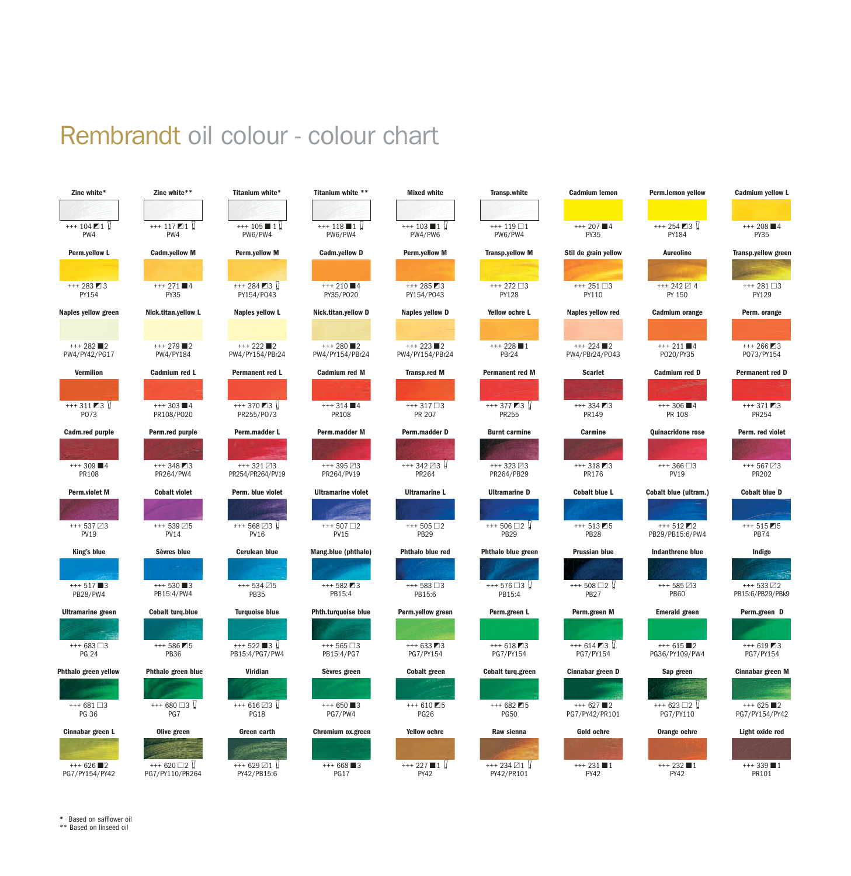# Rembrandt oil colour - colour chart



**\*** Based on safflower oil

\*\* Based on linseed oil